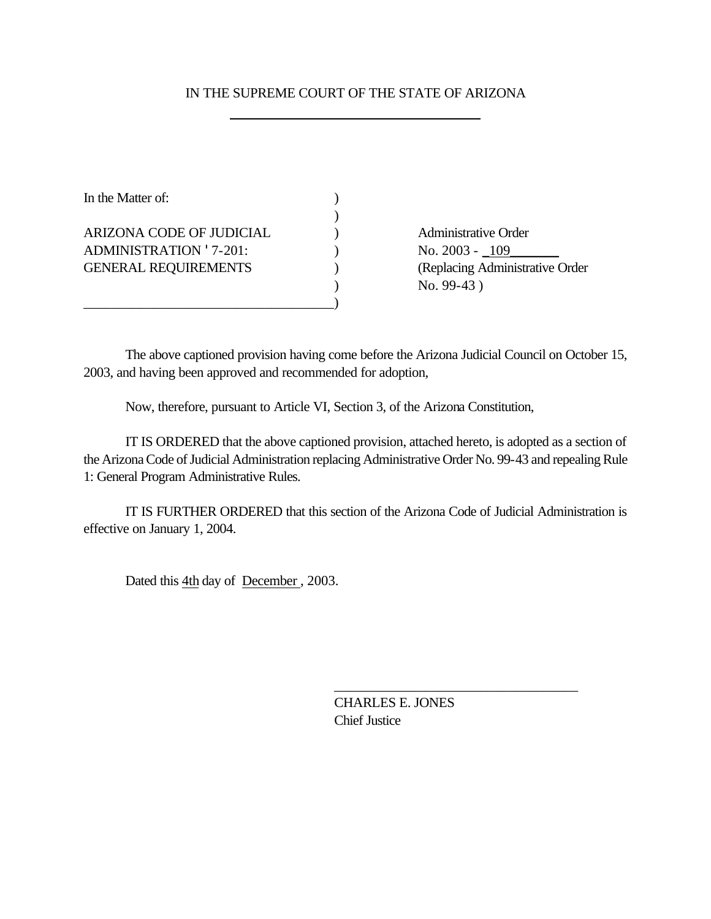## IN THE SUPREME COURT OF THE STATE OF ARIZONA

| In the Matter of:             |  |
|-------------------------------|--|
|                               |  |
| ARIZONA CODE OF JUDICIAL      |  |
| <b>ADMINISTRATION '7-201:</b> |  |
| <b>GENERAL REQUIREMENTS</b>   |  |
|                               |  |
|                               |  |

Administrative Order No. 2003 - <u>109</u> (Replacing Administrative Order ) No. 99-43 )

The above captioned provision having come before the Arizona Judicial Council on October 15, 2003, and having been approved and recommended for adoption,

Now, therefore, pursuant to Article VI, Section 3, of the Arizona Constitution,

IT IS ORDERED that the above captioned provision, attached hereto, is adopted as a section of the Arizona Code of Judicial Administration replacing Administrative Order No. 99-43 and repealing Rule 1: General Program Administrative Rules.

IT IS FURTHER ORDERED that this section of the Arizona Code of Judicial Administration is effective on January 1, 2004.

Dated this 4th day of December , 2003.

CHARLES E. JONES Chief Justice

\_\_\_\_\_\_\_\_\_\_\_\_\_\_\_\_\_\_\_\_\_\_\_\_\_\_\_\_\_\_\_\_\_\_\_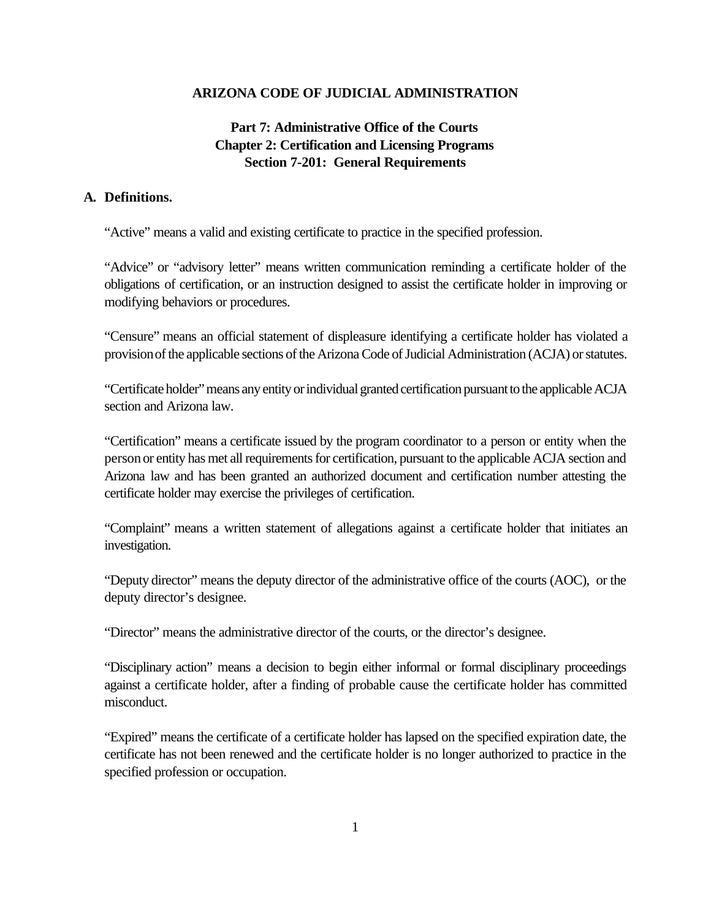### **ARIZONA CODE OF JUDICIAL ADMINISTRATION**

# **Part 7: Administrative Office of the Courts Chapter 2: Certification and Licensing Programs Section 7-201: General Requirements**

#### **A. Definitions.**

"Active" means a valid and existing certificate to practice in the specified profession.

"Advice" or "advisory letter" means written communication reminding a certificate holder of the obligations of certification, or an instruction designed to assist the certificate holder in improving or modifying behaviors or procedures.

"Censure" means an official statement of displeasure identifying a certificate holder has violated a provision of the applicable sections of the Arizona Code of Judicial Administration (ACJA) or statutes.

"Certificate holder" means any entity or individual granted certification pursuant to the applicable ACJA section and Arizona law.

"Certification" means a certificate issued by the program coordinator to a person or entity when the person or entity has met all requirements for certification, pursuant to the applicable ACJA section and Arizona law and has been granted an authorized document and certification number attesting the certificate holder may exercise the privileges of certification.

"Complaint" means a written statement of allegations against a certificate holder that initiates an investigation.

"Deputy director" means the deputy director of the administrative office of the courts (AOC), or the deputy director's designee.

"Director" means the administrative director of the courts, or the director's designee.

"Disciplinary action" means a decision to begin either informal or formal disciplinary proceedings against a certificate holder, after a finding of probable cause the certificate holder has committed misconduct.

"Expired" means the certificate of a certificate holder has lapsed on the specified expiration date, the certificate has not been renewed and the certificate holder is no longer authorized to practice in the specified profession or occupation.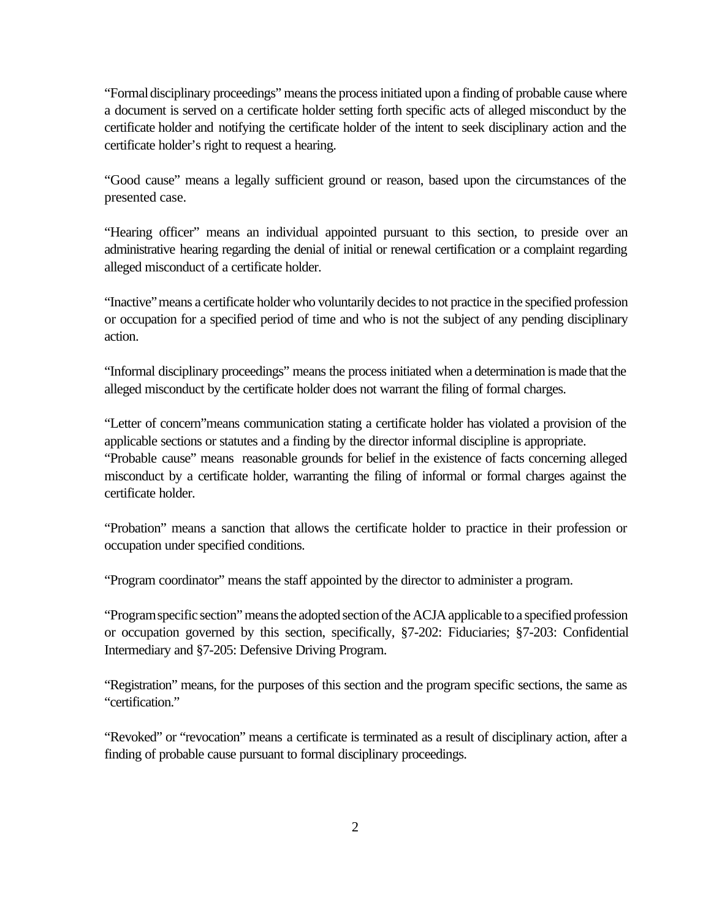"Formal disciplinary proceedings" means the process initiated upon a finding of probable cause where a document is served on a certificate holder setting forth specific acts of alleged misconduct by the certificate holder and notifying the certificate holder of the intent to seek disciplinary action and the certificate holder's right to request a hearing.

"Good cause" means a legally sufficient ground or reason, based upon the circumstances of the presented case.

"Hearing officer" means an individual appointed pursuant to this section, to preside over an administrative hearing regarding the denial of initial or renewal certification or a complaint regarding alleged misconduct of a certificate holder.

"Inactive" means a certificate holder who voluntarily decides to not practice in the specified profession or occupation for a specified period of time and who is not the subject of any pending disciplinary action.

"Informal disciplinary proceedings" means the process initiated when a determination is made that the alleged misconduct by the certificate holder does not warrant the filing of formal charges.

"Letter of concern"means communication stating a certificate holder has violated a provision of the applicable sections or statutes and a finding by the director informal discipline is appropriate. "Probable cause" means reasonable grounds for belief in the existence of facts concerning alleged misconduct by a certificate holder, warranting the filing of informal or formal charges against the certificate holder.

"Probation" means a sanction that allows the certificate holder to practice in their profession or occupation under specified conditions.

"Program coordinator" means the staff appointed by the director to administer a program.

"Program specific section" means the adopted section of the ACJA applicable to a specified profession or occupation governed by this section, specifically, §7-202: Fiduciaries; §7-203: Confidential Intermediary and §7-205: Defensive Driving Program.

"Registration" means, for the purposes of this section and the program specific sections, the same as "certification."

"Revoked" or "revocation" means a certificate is terminated as a result of disciplinary action, after a finding of probable cause pursuant to formal disciplinary proceedings.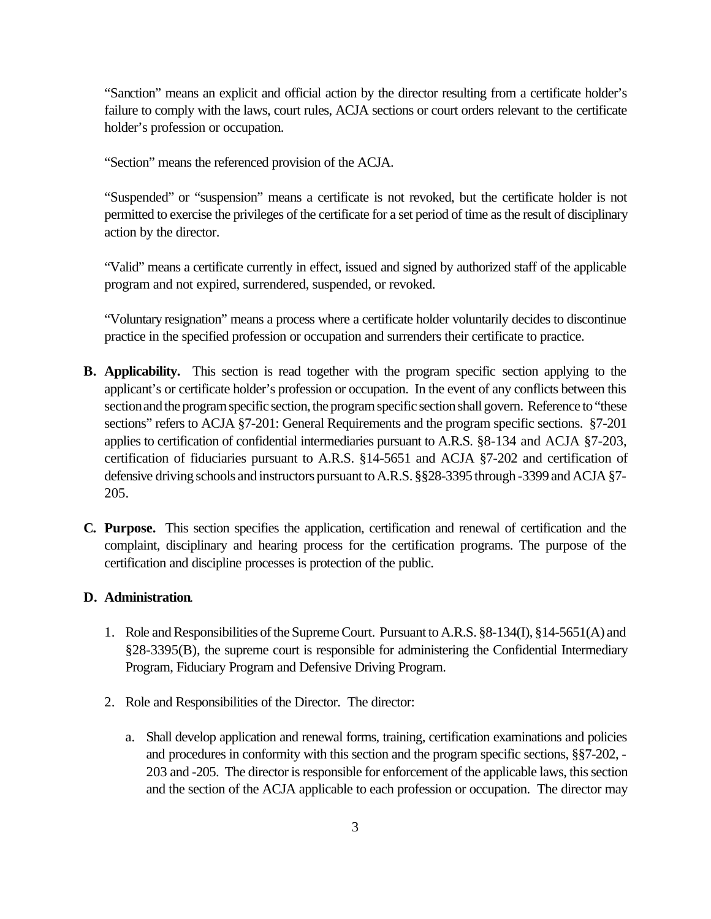"Sanction" means an explicit and official action by the director resulting from a certificate holder's failure to comply with the laws, court rules, ACJA sections or court orders relevant to the certificate holder's profession or occupation.

"Section" means the referenced provision of the ACJA.

"Suspended" or "suspension" means a certificate is not revoked, but the certificate holder is not permitted to exercise the privileges of the certificate for a set period of time as the result of disciplinary action by the director.

"Valid" means a certificate currently in effect, issued and signed by authorized staff of the applicable program and not expired, surrendered, suspended, or revoked.

"Voluntary resignation" means a process where a certificate holder voluntarily decides to discontinue practice in the specified profession or occupation and surrenders their certificate to practice.

- **B. Applicability.** This section is read together with the program specific section applying to the applicant's or certificate holder's profession or occupation. In the event of any conflicts between this section and the program specific section, the program specific section shall govern. Reference to "these sections" refers to ACJA §7-201: General Requirements and the program specific sections. §7-201 applies to certification of confidential intermediaries pursuant to A.R.S. §8-134 and ACJA §7-203, certification of fiduciaries pursuant to A.R.S. §14-5651 and ACJA §7-202 and certification of defensive driving schools and instructors pursuant to A.R.S. §§28-3395 through -3399 and ACJA §7- 205.
- **C. Purpose.** This section specifies the application, certification and renewal of certification and the complaint, disciplinary and hearing process for the certification programs. The purpose of the certification and discipline processes is protection of the public.

## **D. Administration**.

- 1. Role and Responsibilities of the Supreme Court. Pursuant to A.R.S. §8-134(I), §14-5651(A) and §28-3395(B), the supreme court is responsible for administering the Confidential Intermediary Program, Fiduciary Program and Defensive Driving Program.
- 2. Role and Responsibilities of the Director. The director:
	- a. Shall develop application and renewal forms, training, certification examinations and policies and procedures in conformity with this section and the program specific sections, §§7-202, - 203 and -205. The director is responsible for enforcement of the applicable laws, this section and the section of the ACJA applicable to each profession or occupation. The director may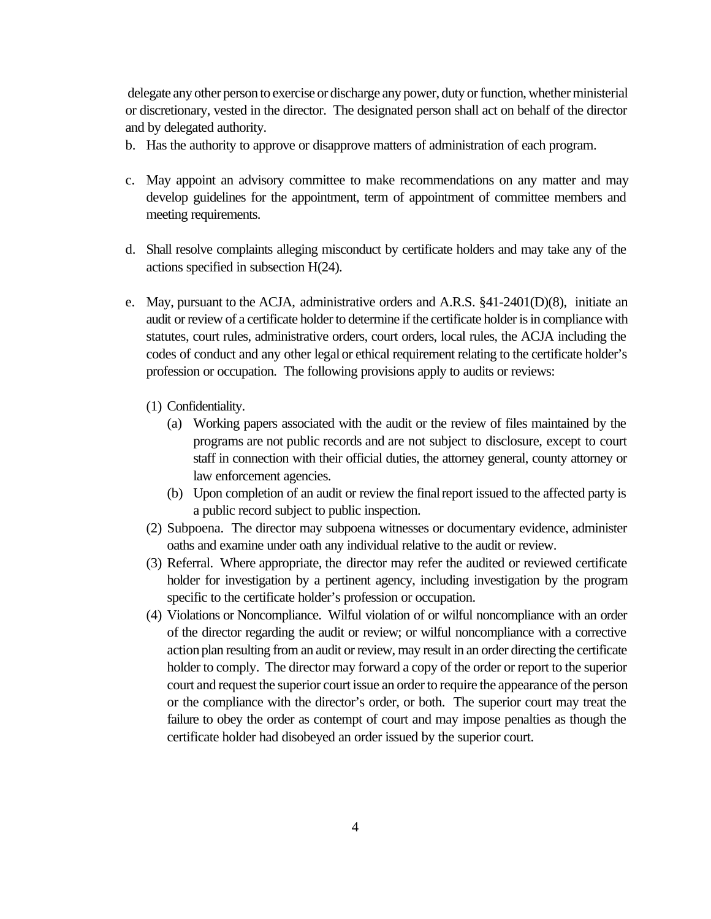delegate any other person to exercise or discharge any power, duty or function, whether ministerial or discretionary, vested in the director. The designated person shall act on behalf of the director and by delegated authority.

- b. Has the authority to approve or disapprove matters of administration of each program.
- c. May appoint an advisory committee to make recommendations on any matter and may develop guidelines for the appointment, term of appointment of committee members and meeting requirements.
- d. Shall resolve complaints alleging misconduct by certificate holders and may take any of the actions specified in subsection H(24).
- e. May, pursuant to the ACJA, administrative orders and A.R.S. §41-2401(D)(8), initiate an audit or review of a certificate holder to determine if the certificate holder is in compliance with statutes, court rules, administrative orders, court orders, local rules, the ACJA including the codes of conduct and any other legal or ethical requirement relating to the certificate holder's profession or occupation. The following provisions apply to audits or reviews:
	- (1) Confidentiality.
		- (a) Working papers associated with the audit or the review of files maintained by the programs are not public records and are not subject to disclosure, except to court staff in connection with their official duties, the attorney general, county attorney or law enforcement agencies.
		- (b) Upon completion of an audit or review the final report issued to the affected party is a public record subject to public inspection.
	- (2) Subpoena. The director may subpoena witnesses or documentary evidence, administer oaths and examine under oath any individual relative to the audit or review.
	- (3) Referral. Where appropriate, the director may refer the audited or reviewed certificate holder for investigation by a pertinent agency, including investigation by the program specific to the certificate holder's profession or occupation.
	- (4) Violations or Noncompliance. Wilful violation of or wilful noncompliance with an order of the director regarding the audit or review; or wilful noncompliance with a corrective action plan resulting from an audit or review, may result in an order directing the certificate holder to comply. The director may forward a copy of the order or report to the superior court and request the superior court issue an order to require the appearance of the person or the compliance with the director's order, or both. The superior court may treat the failure to obey the order as contempt of court and may impose penalties as though the certificate holder had disobeyed an order issued by the superior court.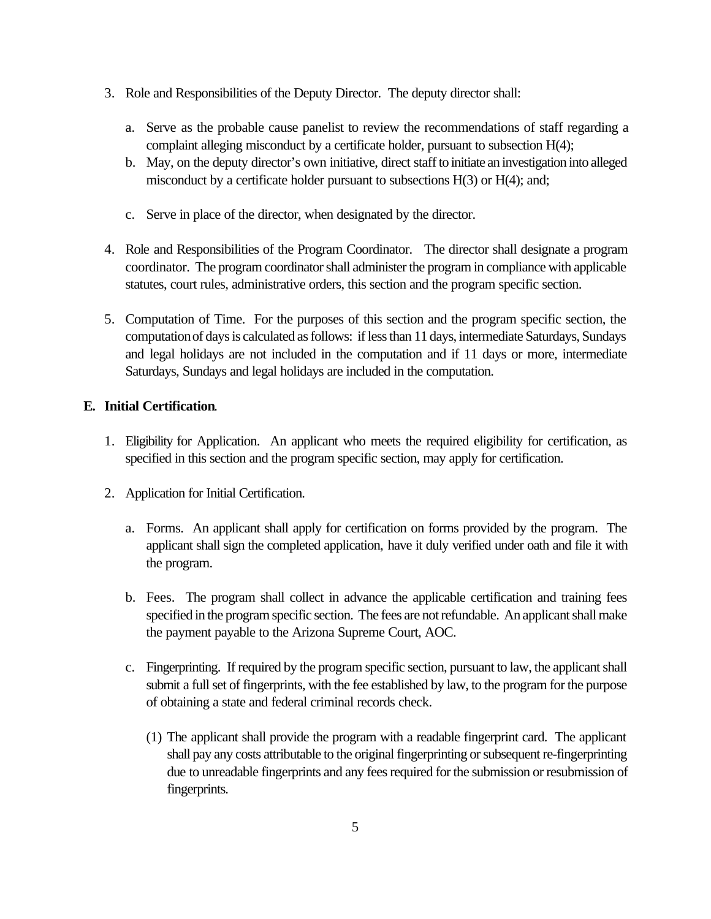- 3. Role and Responsibilities of the Deputy Director. The deputy director shall:
	- a. Serve as the probable cause panelist to review the recommendations of staff regarding a complaint alleging misconduct by a certificate holder, pursuant to subsection H(4);
	- b. May, on the deputy director's own initiative, direct staff to initiate an investigation into alleged misconduct by a certificate holder pursuant to subsections H(3) or H(4); and;
	- c. Serve in place of the director, when designated by the director.
- 4. Role and Responsibilities of the Program Coordinator. The director shall designate a program coordinator. The program coordinator shall administer the program in compliance with applicable statutes, court rules, administrative orders, this section and the program specific section.
- 5. Computation of Time. For the purposes of this section and the program specific section, the computation of days is calculated as follows: if less than 11 days, intermediate Saturdays, Sundays and legal holidays are not included in the computation and if 11 days or more, intermediate Saturdays, Sundays and legal holidays are included in the computation.

## **E. Initial Certification**.

- 1. Eligibility for Application. An applicant who meets the required eligibility for certification, as specified in this section and the program specific section, may apply for certification.
- 2. Application for Initial Certification.
	- a. Forms. An applicant shall apply for certification on forms provided by the program. The applicant shall sign the completed application, have it duly verified under oath and file it with the program.
	- b. Fees. The program shall collect in advance the applicable certification and training fees specified in the program specific section. The fees are not refundable. An applicant shall make the payment payable to the Arizona Supreme Court, AOC.
	- c. Fingerprinting. If required by the program specific section, pursuant to law, the applicant shall submit a full set of fingerprints, with the fee established by law, to the program for the purpose of obtaining a state and federal criminal records check.
		- (1) The applicant shall provide the program with a readable fingerprint card. The applicant shall pay any costs attributable to the original fingerprinting or subsequent re-fingerprinting due to unreadable fingerprints and any fees required for the submission or resubmission of fingerprints.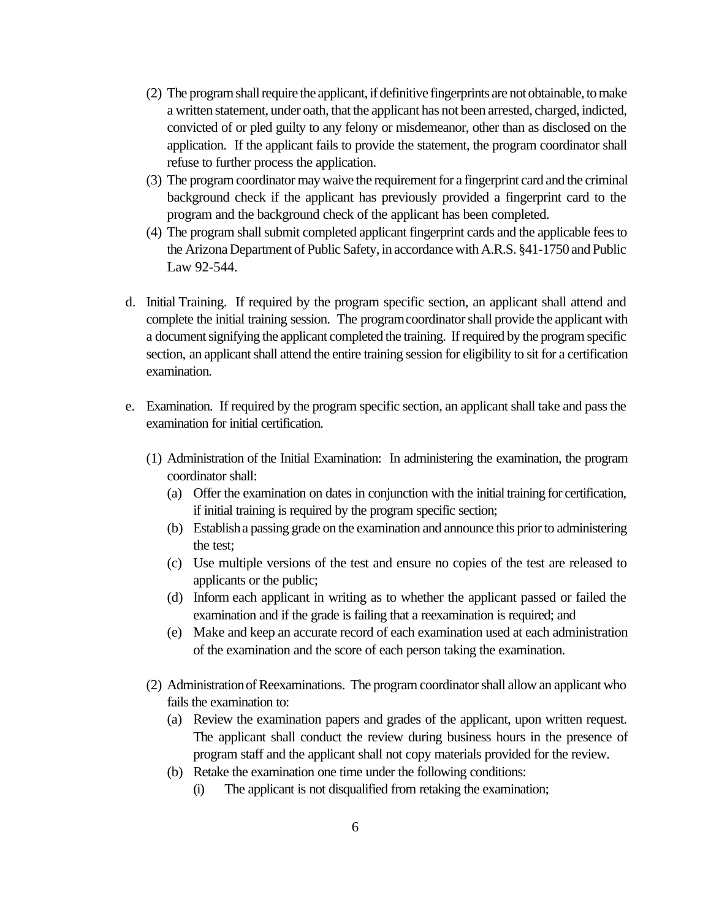- (2) The program shall require the applicant, if definitive fingerprints are not obtainable, to make a written statement, under oath, that the applicant has not been arrested, charged, indicted, convicted of or pled guilty to any felony or misdemeanor, other than as disclosed on the application. If the applicant fails to provide the statement, the program coordinator shall refuse to further process the application.
- (3) The program coordinator may waive the requirement for a fingerprint card and the criminal background check if the applicant has previously provided a fingerprint card to the program and the background check of the applicant has been completed.
- (4) The program shall submit completed applicant fingerprint cards and the applicable fees to the Arizona Department of Public Safety, in accordance with A.R.S. §41-1750 and Public Law 92-544.
- d. Initial Training. If required by the program specific section, an applicant shall attend and complete the initial training session. The program coordinator shall provide the applicant with a document signifying the applicant completed the training. If required by the program specific section, an applicant shall attend the entire training session for eligibility to sit for a certification examination.
- e. Examination. If required by the program specific section, an applicant shall take and pass the examination for initial certification.
	- (1) Administration of the Initial Examination: In administering the examination, the program coordinator shall:
		- (a) Offer the examination on dates in conjunction with the initial training for certification, if initial training is required by the program specific section;
		- (b) Establish a passing grade on the examination and announce this prior to administering the test;
		- (c) Use multiple versions of the test and ensure no copies of the test are released to applicants or the public;
		- (d) Inform each applicant in writing as to whether the applicant passed or failed the examination and if the grade is failing that a reexamination is required; and
		- (e) Make and keep an accurate record of each examination used at each administration of the examination and the score of each person taking the examination.
	- (2) Administration of Reexaminations. The program coordinator shall allow an applicant who fails the examination to:
		- (a) Review the examination papers and grades of the applicant, upon written request. The applicant shall conduct the review during business hours in the presence of program staff and the applicant shall not copy materials provided for the review.
		- (b) Retake the examination one time under the following conditions:
			- (i) The applicant is not disqualified from retaking the examination;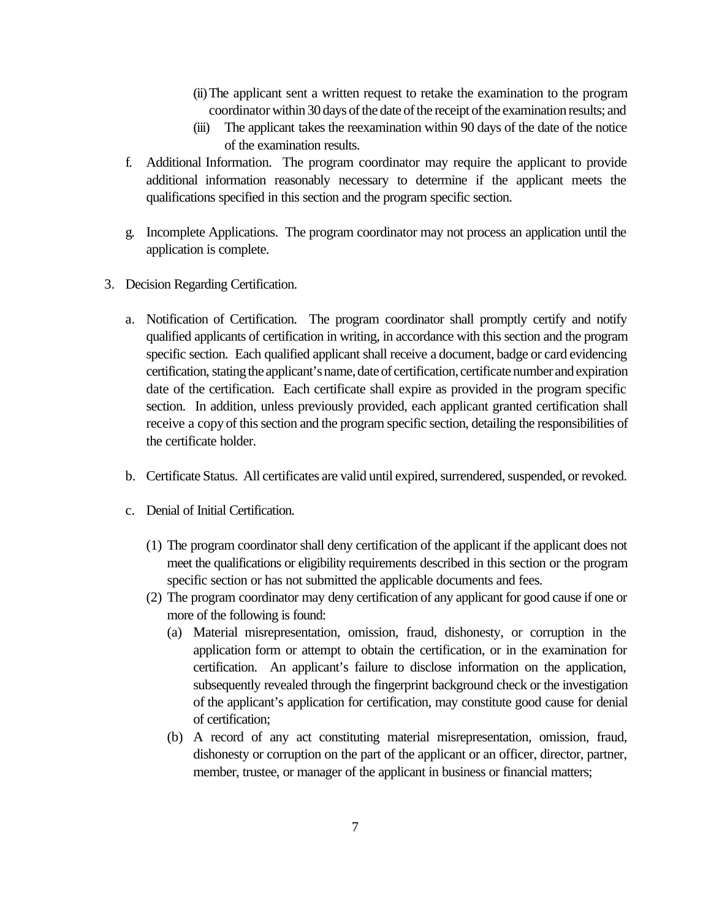- (ii)The applicant sent a written request to retake the examination to the program coordinator within 30 days of the date of the receipt of the examination results; and
- (iii) The applicant takes the reexamination within 90 days of the date of the notice of the examination results.
- f. Additional Information. The program coordinator may require the applicant to provide additional information reasonably necessary to determine if the applicant meets the qualifications specified in this section and the program specific section.
- g. Incomplete Applications. The program coordinator may not process an application until the application is complete.
- 3. Decision Regarding Certification.
	- a. Notification of Certification. The program coordinator shall promptly certify and notify qualified applicants of certification in writing, in accordance with this section and the program specific section. Each qualified applicant shall receive a document, badge or card evidencing certification, stating the applicant's name, date of certification, certificate number and expiration date of the certification. Each certificate shall expire as provided in the program specific section. In addition, unless previously provided, each applicant granted certification shall receive a copy of this section and the program specific section, detailing the responsibilities of the certificate holder.
	- b. Certificate Status. All certificates are valid until expired, surrendered, suspended, or revoked.
	- c. Denial of Initial Certification.
		- (1) The program coordinator shall deny certification of the applicant if the applicant does not meet the qualifications or eligibility requirements described in this section or the program specific section or has not submitted the applicable documents and fees.
		- (2) The program coordinator may deny certification of any applicant for good cause if one or more of the following is found:
			- (a) Material misrepresentation, omission, fraud, dishonesty, or corruption in the application form or attempt to obtain the certification, or in the examination for certification. An applicant's failure to disclose information on the application, subsequently revealed through the fingerprint background check or the investigation of the applicant's application for certification, may constitute good cause for denial of certification;
			- (b) A record of any act constituting material misrepresentation, omission, fraud, dishonesty or corruption on the part of the applicant or an officer, director, partner, member, trustee, or manager of the applicant in business or financial matters;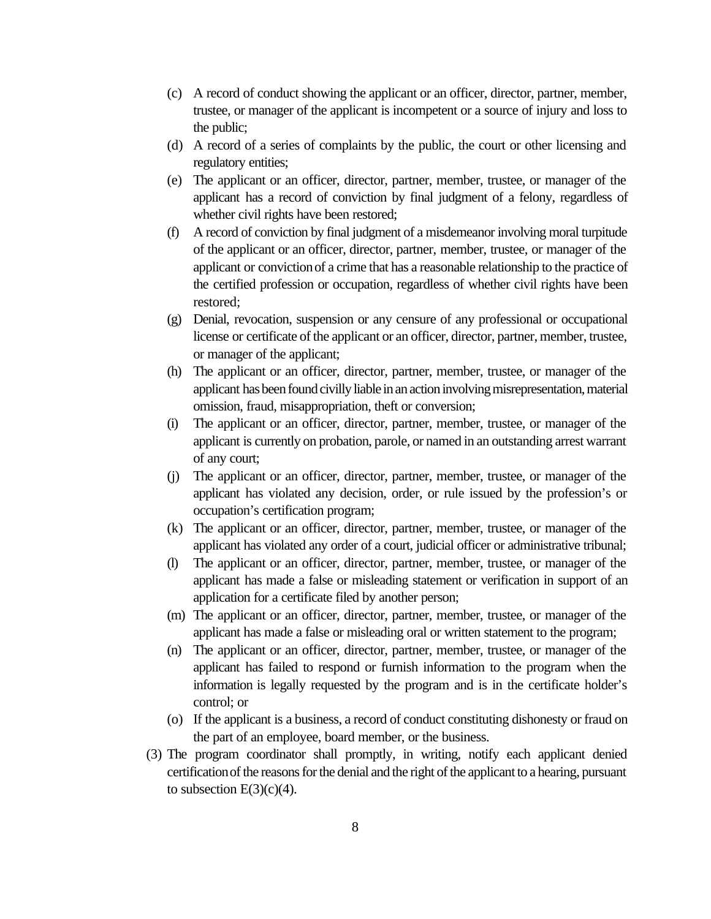- (c) A record of conduct showing the applicant or an officer, director, partner, member, trustee, or manager of the applicant is incompetent or a source of injury and loss to the public;
- (d) A record of a series of complaints by the public, the court or other licensing and regulatory entities;
- (e) The applicant or an officer, director, partner, member, trustee, or manager of the applicant has a record of conviction by final judgment of a felony, regardless of whether civil rights have been restored;
- (f) A record of conviction by final judgment of a misdemeanor involving moral turpitude of the applicant or an officer, director, partner, member, trustee, or manager of the applicant or conviction of a crime that has a reasonable relationship to the practice of the certified profession or occupation, regardless of whether civil rights have been restored;
- (g) Denial, revocation, suspension or any censure of any professional or occupational license or certificate of the applicant or an officer, director, partner, member, trustee, or manager of the applicant;
- (h) The applicant or an officer, director, partner, member, trustee, or manager of the applicant has been found civilly liable in an action involving misrepresentation, material omission, fraud, misappropriation, theft or conversion;
- (i) The applicant or an officer, director, partner, member, trustee, or manager of the applicant is currently on probation, parole, or named in an outstanding arrest warrant of any court;
- (j) The applicant or an officer, director, partner, member, trustee, or manager of the applicant has violated any decision, order, or rule issued by the profession's or occupation's certification program;
- (k) The applicant or an officer, director, partner, member, trustee, or manager of the applicant has violated any order of a court, judicial officer or administrative tribunal;
- (l) The applicant or an officer, director, partner, member, trustee, or manager of the applicant has made a false or misleading statement or verification in support of an application for a certificate filed by another person;
- (m) The applicant or an officer, director, partner, member, trustee, or manager of the applicant has made a false or misleading oral or written statement to the program;
- (n) The applicant or an officer, director, partner, member, trustee, or manager of the applicant has failed to respond or furnish information to the program when the information is legally requested by the program and is in the certificate holder's control; or
- (o) If the applicant is a business, a record of conduct constituting dishonesty or fraud on the part of an employee, board member, or the business.
- (3) The program coordinator shall promptly, in writing, notify each applicant denied certification of the reasons for the denial and the right of the applicant to a hearing, pursuant to subsection  $E(3)(c)(4)$ .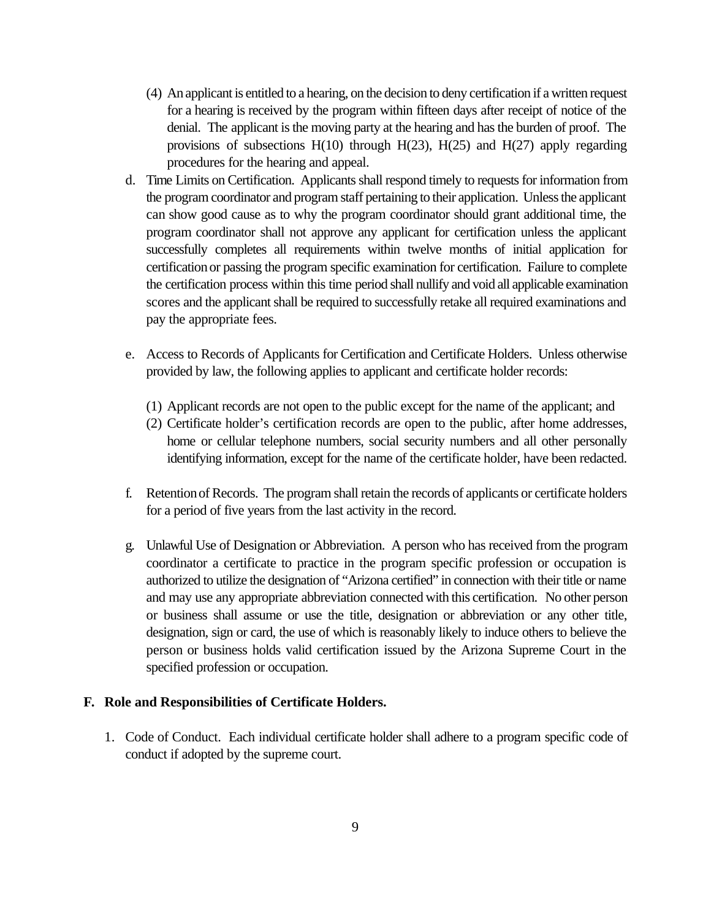- (4) An applicant is entitled to a hearing, on the decision to deny certification if a written request for a hearing is received by the program within fifteen days after receipt of notice of the denial. The applicant is the moving party at the hearing and has the burden of proof. The provisions of subsections  $H(10)$  through  $H(23)$ ,  $H(25)$  and  $H(27)$  apply regarding procedures for the hearing and appeal.
- d. Time Limits on Certification. Applicants shall respond timely to requests for information from the program coordinator and program staff pertaining to their application. Unless the applicant can show good cause as to why the program coordinator should grant additional time, the program coordinator shall not approve any applicant for certification unless the applicant successfully completes all requirements within twelve months of initial application for certification or passing the program specific examination for certification. Failure to complete the certification process within this time period shall nullify and void all applicable examination scores and the applicant shall be required to successfully retake all required examinations and pay the appropriate fees.
- e. Access to Records of Applicants for Certification and Certificate Holders. Unless otherwise provided by law, the following applies to applicant and certificate holder records:
	- (1) Applicant records are not open to the public except for the name of the applicant; and
	- (2) Certificate holder's certification records are open to the public, after home addresses, home or cellular telephone numbers, social security numbers and all other personally identifying information, except for the name of the certificate holder, have been redacted.
- f. Retention of Records. The program shall retain the records of applicants or certificate holders for a period of five years from the last activity in the record.
- g. Unlawful Use of Designation or Abbreviation. A person who has received from the program coordinator a certificate to practice in the program specific profession or occupation is authorized to utilize the designation of "Arizona certified" in connection with their title or name and may use any appropriate abbreviation connected with this certification. No other person or business shall assume or use the title, designation or abbreviation or any other title, designation, sign or card, the use of which is reasonably likely to induce others to believe the person or business holds valid certification issued by the Arizona Supreme Court in the specified profession or occupation.

#### **F. Role and Responsibilities of Certificate Holders.**

1. Code of Conduct. Each individual certificate holder shall adhere to a program specific code of conduct if adopted by the supreme court.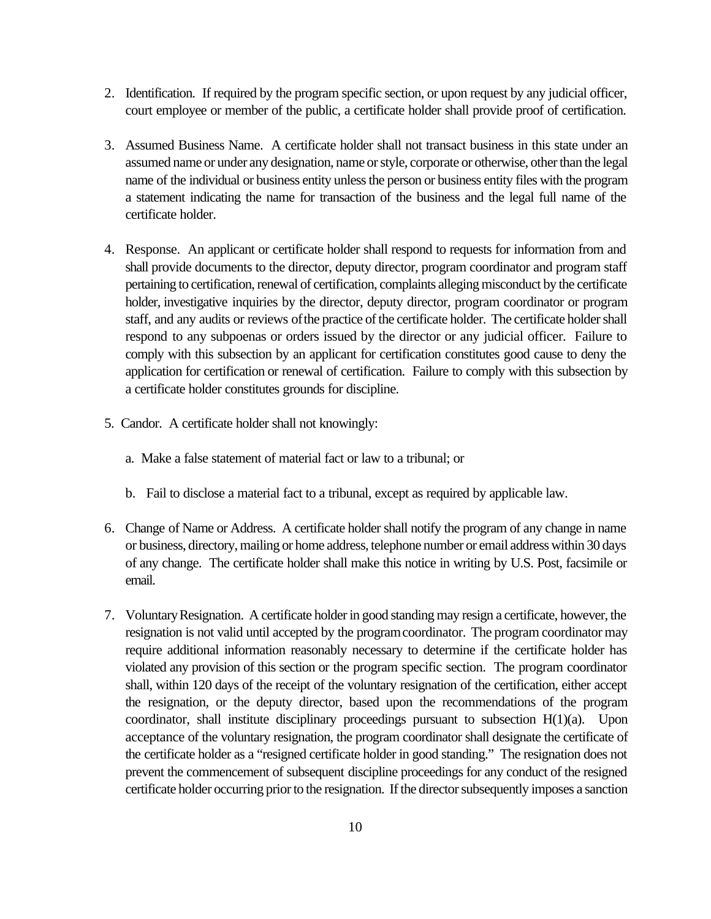- 2. Identification. If required by the program specific section, or upon request by any judicial officer, court employee or member of the public, a certificate holder shall provide proof of certification.
- 3. Assumed Business Name. A certificate holder shall not transact business in this state under an assumed name or under any designation, name or style, corporate or otherwise, other than the legal name of the individual or business entity unless the person or business entity files with the program a statement indicating the name for transaction of the business and the legal full name of the certificate holder.
- 4. Response. An applicant or certificate holder shall respond to requests for information from and shall provide documents to the director, deputy director, program coordinator and program staff pertaining to certification, renewal of certification, complaints alleging misconduct by the certificate holder, investigative inquiries by the director, deputy director, program coordinator or program staff, and any audits or reviews of the practice of the certificate holder. The certificate holder shall respond to any subpoenas or orders issued by the director or any judicial officer. Failure to comply with this subsection by an applicant for certification constitutes good cause to deny the application for certification or renewal of certification. Failure to comply with this subsection by a certificate holder constitutes grounds for discipline.
- 5. Candor. A certificate holder shall not knowingly:
	- a. Make a false statement of material fact or law to a tribunal; or
	- b. Fail to disclose a material fact to a tribunal, except as required by applicable law.
- 6. Change of Name or Address. A certificate holder shall notify the program of any change in name or business, directory, mailing or home address, telephone number or email address within 30 days of any change. The certificate holder shall make this notice in writing by U.S. Post, facsimile or email.
- 7. Voluntary Resignation. A certificate holder in good standing may resign a certificate, however, the resignation is not valid until accepted by the program coordinator. The program coordinator may require additional information reasonably necessary to determine if the certificate holder has violated any provision of this section or the program specific section. The program coordinator shall, within 120 days of the receipt of the voluntary resignation of the certification, either accept the resignation, or the deputy director, based upon the recommendations of the program coordinator, shall institute disciplinary proceedings pursuant to subsection H(1)(a). Upon acceptance of the voluntary resignation, the program coordinator shall designate the certificate of the certificate holder as a "resigned certificate holder in good standing." The resignation does not prevent the commencement of subsequent discipline proceedings for any conduct of the resigned certificate holder occurring prior to the resignation. If the director subsequently imposes a sanction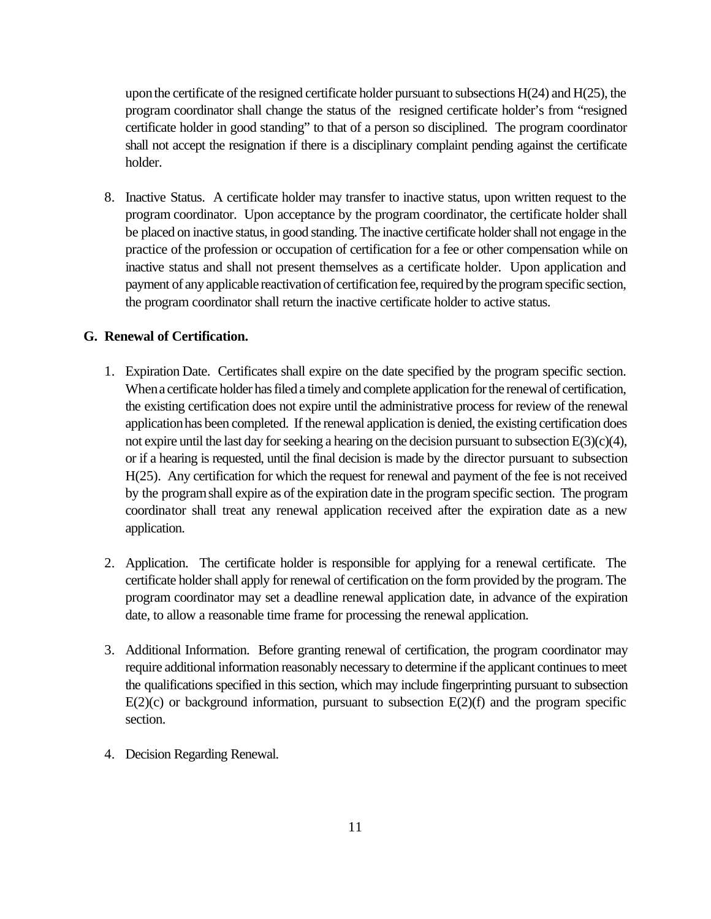upon the certificate of the resigned certificate holder pursuant to subsections  $H(24)$  and  $H(25)$ , the program coordinator shall change the status of the resigned certificate holder's from "resigned certificate holder in good standing" to that of a person so disciplined. The program coordinator shall not accept the resignation if there is a disciplinary complaint pending against the certificate holder.

8. Inactive Status. A certificate holder may transfer to inactive status, upon written request to the program coordinator. Upon acceptance by the program coordinator, the certificate holder shall be placed on inactive status, in good standing. The inactive certificate holder shall not engage in the practice of the profession or occupation of certification for a fee or other compensation while on inactive status and shall not present themselves as a certificate holder. Upon application and payment of any applicable reactivation of certification fee, required by the program specific section, the program coordinator shall return the inactive certificate holder to active status.

### **G. Renewal of Certification.**

- 1. Expiration Date. Certificates shall expire on the date specified by the program specific section. When a certificate holder has filed a timely and complete application for the renewal of certification, the existing certification does not expire until the administrative process for review of the renewal application has been completed. If the renewal application is denied, the existing certification does not expire until the last day for seeking a hearing on the decision pursuant to subsection  $E(3)(c)(4)$ , or if a hearing is requested, until the final decision is made by the director pursuant to subsection H(25). Any certification for which the request for renewal and payment of the fee is not received by the program shall expire as of the expiration date in the program specific section. The program coordinator shall treat any renewal application received after the expiration date as a new application.
- 2. Application. The certificate holder is responsible for applying for a renewal certificate. The certificate holder shall apply for renewal of certification on the form provided by the program. The program coordinator may set a deadline renewal application date, in advance of the expiration date, to allow a reasonable time frame for processing the renewal application.
- 3. Additional Information. Before granting renewal of certification, the program coordinator may require additional information reasonably necessary to determine if the applicant continues to meet the qualifications specified in this section, which may include fingerprinting pursuant to subsection  $E(2)(c)$  or background information, pursuant to subsection  $E(2)(f)$  and the program specific section.
- 4. Decision Regarding Renewal.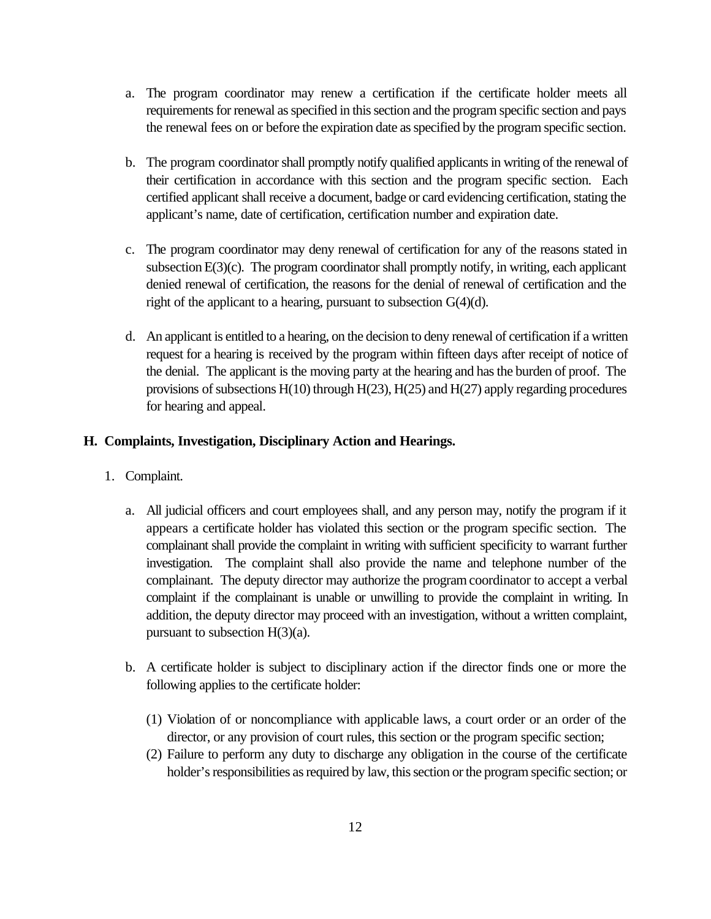- a. The program coordinator may renew a certification if the certificate holder meets all requirements for renewal as specified in this section and the program specific section and pays the renewal fees on or before the expiration date as specified by the program specific section.
- b. The program coordinator shall promptly notify qualified applicants in writing of the renewal of their certification in accordance with this section and the program specific section. Each certified applicant shall receive a document, badge or card evidencing certification, stating the applicant's name, date of certification, certification number and expiration date.
- c. The program coordinator may deny renewal of certification for any of the reasons stated in subsection E(3)(c). The program coordinator shall promptly notify, in writing, each applicant denied renewal of certification, the reasons for the denial of renewal of certification and the right of the applicant to a hearing, pursuant to subsection G(4)(d).
- d. An applicant is entitled to a hearing, on the decision to deny renewal of certification if a written request for a hearing is received by the program within fifteen days after receipt of notice of the denial. The applicant is the moving party at the hearing and has the burden of proof. The provisions of subsections H(10) through H(23), H(25) and H(27) apply regarding procedures for hearing and appeal.

## **H. Complaints, Investigation, Disciplinary Action and Hearings.**

- 1. Complaint.
	- a. All judicial officers and court employees shall, and any person may, notify the program if it appears a certificate holder has violated this section or the program specific section. The complainant shall provide the complaint in writing with sufficient specificity to warrant further investigation. The complaint shall also provide the name and telephone number of the complainant. The deputy director may authorize the program coordinator to accept a verbal complaint if the complainant is unable or unwilling to provide the complaint in writing. In addition, the deputy director may proceed with an investigation, without a written complaint, pursuant to subsection H(3)(a).
	- b. A certificate holder is subject to disciplinary action if the director finds one or more the following applies to the certificate holder:
		- (1) Violation of or noncompliance with applicable laws, a court order or an order of the director, or any provision of court rules, this section or the program specific section;
		- (2) Failure to perform any duty to discharge any obligation in the course of the certificate holder's responsibilities as required by law, this section or the program specific section; or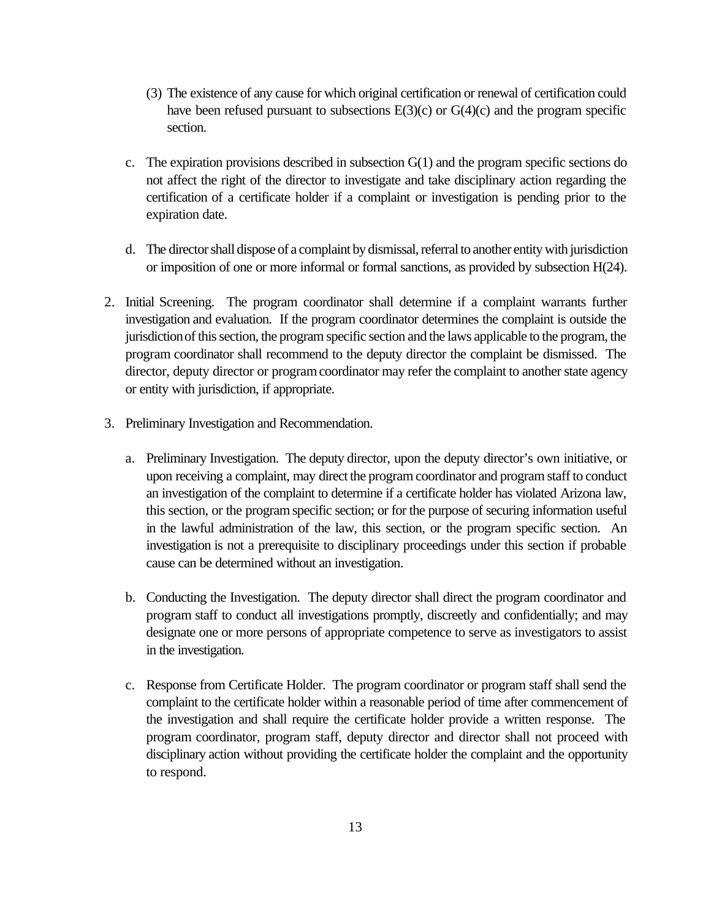- (3) The existence of any cause for which original certification or renewal of certification could have been refused pursuant to subsections  $E(3)(c)$  or  $G(4)(c)$  and the program specific section.
- c. The expiration provisions described in subsection G(1) and the program specific sections do not affect the right of the director to investigate and take disciplinary action regarding the certification of a certificate holder if a complaint or investigation is pending prior to the expiration date.
- d. The director shall dispose of a complaint by dismissal, referral to another entity with jurisdiction or imposition of one or more informal or formal sanctions, as provided by subsection H(24).
- 2. Initial Screening. The program coordinator shall determine if a complaint warrants further investigation and evaluation. If the program coordinator determines the complaint is outside the jurisdiction of this section, the program specific section and the laws applicable to the program, the program coordinator shall recommend to the deputy director the complaint be dismissed. The director, deputy director or program coordinator may refer the complaint to another state agency or entity with jurisdiction, if appropriate.
- 3. Preliminary Investigation and Recommendation.
	- a. Preliminary Investigation. The deputy director, upon the deputy director's own initiative, or upon receiving a complaint, may direct the program coordinator and program staff to conduct an investigation of the complaint to determine if a certificate holder has violated Arizona law, this section, or the program specific section; or for the purpose of securing information useful in the lawful administration of the law, this section, or the program specific section. An investigation is not a prerequisite to disciplinary proceedings under this section if probable cause can be determined without an investigation.
	- b. Conducting the Investigation. The deputy director shall direct the program coordinator and program staff to conduct all investigations promptly, discreetly and confidentially; and may designate one or more persons of appropriate competence to serve as investigators to assist in the investigation.
	- c. Response from Certificate Holder. The program coordinator or program staff shall send the complaint to the certificate holder within a reasonable period of time after commencement of the investigation and shall require the certificate holder provide a written response. The program coordinator, program staff, deputy director and director shall not proceed with disciplinary action without providing the certificate holder the complaint and the opportunity to respond.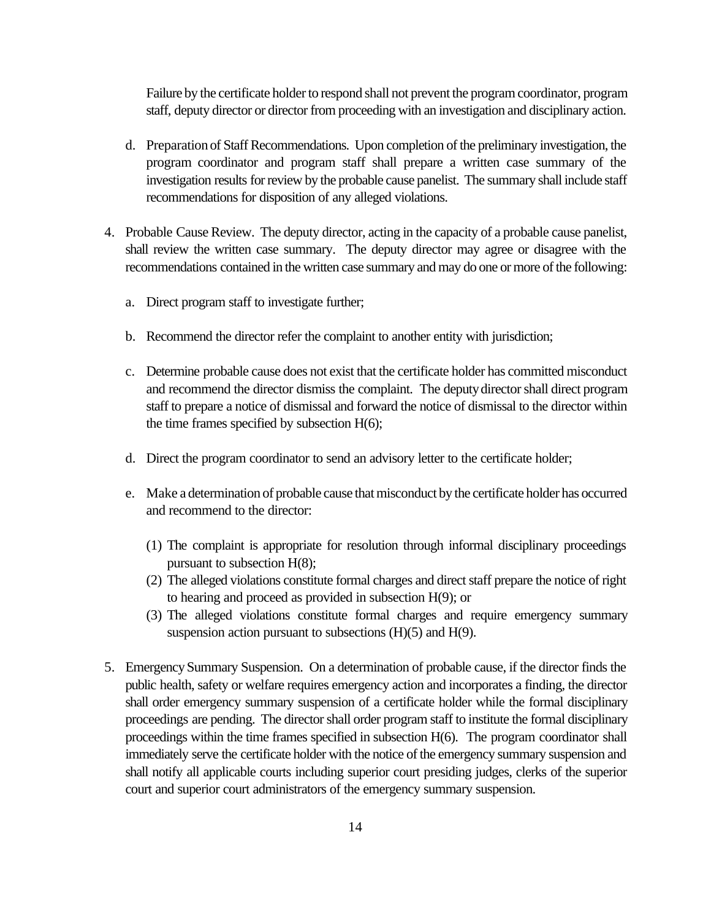Failure by the certificate holder to respond shall not prevent the program coordinator, program staff, deputy director or director from proceeding with an investigation and disciplinary action.

- d. Preparation of Staff Recommendations. Upon completion of the preliminary investigation, the program coordinator and program staff shall prepare a written case summary of the investigation results for review by the probable cause panelist. The summary shall include staff recommendations for disposition of any alleged violations.
- 4. Probable Cause Review. The deputy director, acting in the capacity of a probable cause panelist, shall review the written case summary. The deputy director may agree or disagree with the recommendations contained in the written case summary and may do one or more of the following:
	- a. Direct program staff to investigate further;
	- b. Recommend the director refer the complaint to another entity with jurisdiction;
	- c. Determine probable cause does not exist that the certificate holder has committed misconduct and recommend the director dismiss the complaint. The deputy director shall direct program staff to prepare a notice of dismissal and forward the notice of dismissal to the director within the time frames specified by subsection H(6);
	- d. Direct the program coordinator to send an advisory letter to the certificate holder;
	- e. Make a determination of probable cause that misconduct by the certificate holder has occurred and recommend to the director:
		- (1) The complaint is appropriate for resolution through informal disciplinary proceedings pursuant to subsection H(8);
		- (2) The alleged violations constitute formal charges and direct staff prepare the notice of right to hearing and proceed as provided in subsection H(9); or
		- (3) The alleged violations constitute formal charges and require emergency summary suspension action pursuant to subsections (H)(5) and H(9).
- 5. Emergency Summary Suspension. On a determination of probable cause, if the director finds the public health, safety or welfare requires emergency action and incorporates a finding, the director shall order emergency summary suspension of a certificate holder while the formal disciplinary proceedings are pending. The director shall order program staff to institute the formal disciplinary proceedings within the time frames specified in subsection H(6). The program coordinator shall immediately serve the certificate holder with the notice of the emergency summary suspension and shall notify all applicable courts including superior court presiding judges, clerks of the superior court and superior court administrators of the emergency summary suspension.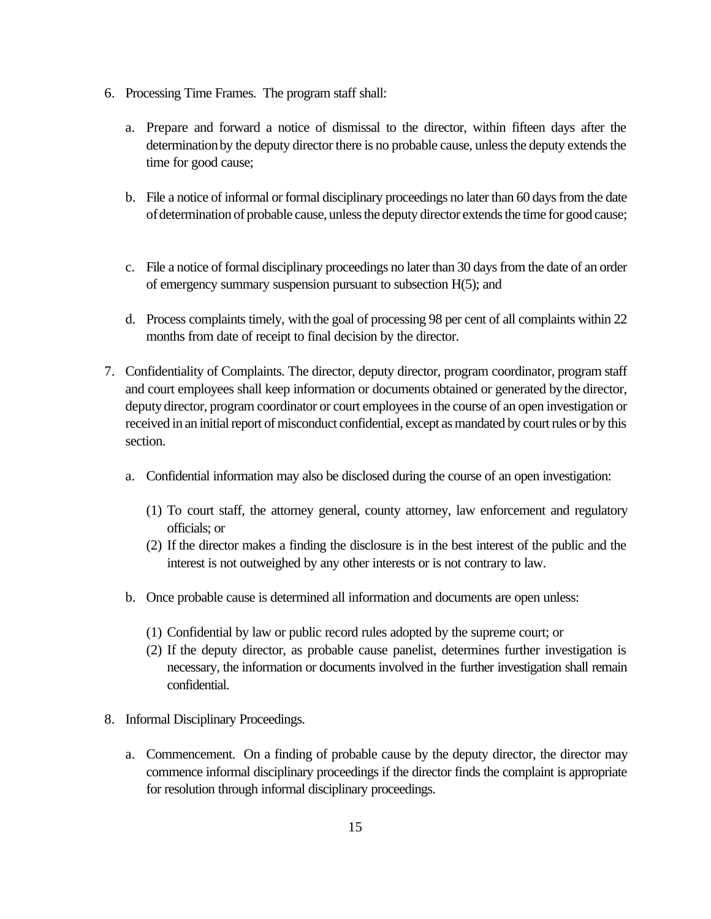- 6. Processing Time Frames. The program staff shall:
	- a. Prepare and forward a notice of dismissal to the director, within fifteen days after the determination by the deputy director there is no probable cause, unless the deputy extends the time for good cause;
	- b. File a notice of informal or formal disciplinary proceedings no later than 60 days from the date of determination of probable cause, unless the deputy director extends the time for good cause;
	- c. File a notice of formal disciplinary proceedings no later than 30 days from the date of an order of emergency summary suspension pursuant to subsection H(5); and
	- d. Process complaints timely, with the goal of processing 98 per cent of all complaints within 22 months from date of receipt to final decision by the director.
- 7. Confidentiality of Complaints. The director, deputy director, program coordinator, program staff and court employees shall keep information or documents obtained or generated by the director, deputy director, program coordinator or court employees in the course of an open investigation or received in an initial report of misconduct confidential, except as mandated by court rules or by this section.
	- a. Confidential information may also be disclosed during the course of an open investigation:
		- (1) To court staff, the attorney general, county attorney, law enforcement and regulatory officials; or
		- (2) If the director makes a finding the disclosure is in the best interest of the public and the interest is not outweighed by any other interests or is not contrary to law.
	- b. Once probable cause is determined all information and documents are open unless:
		- (1) Confidential by law or public record rules adopted by the supreme court; or
		- (2) If the deputy director, as probable cause panelist, determines further investigation is necessary, the information or documents involved in the further investigation shall remain confidential.
- 8. Informal Disciplinary Proceedings.
	- a. Commencement. On a finding of probable cause by the deputy director, the director may commence informal disciplinary proceedings if the director finds the complaint is appropriate for resolution through informal disciplinary proceedings.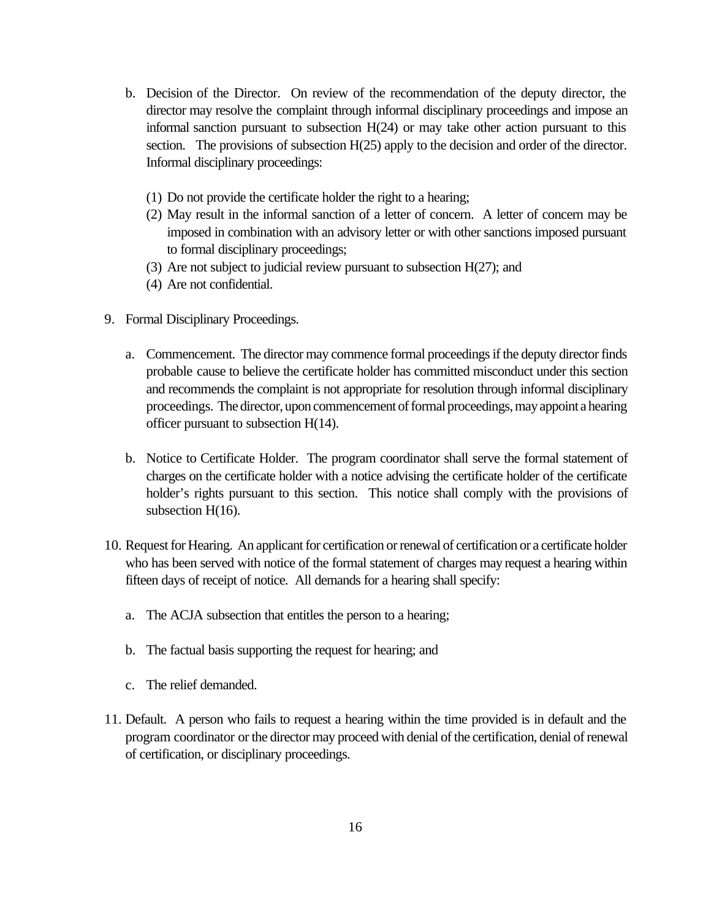- b. Decision of the Director. On review of the recommendation of the deputy director, the director may resolve the complaint through informal disciplinary proceedings and impose an informal sanction pursuant to subsection H(24) or may take other action pursuant to this section. The provisions of subsection H(25) apply to the decision and order of the director. Informal disciplinary proceedings:
	- (1) Do not provide the certificate holder the right to a hearing;
	- (2) May result in the informal sanction of a letter of concern. A letter of concern may be imposed in combination with an advisory letter or with other sanctions imposed pursuant to formal disciplinary proceedings;
	- (3) Are not subject to judicial review pursuant to subsection H(27); and
	- (4) Are not confidential.
- 9. Formal Disciplinary Proceedings.
	- a. Commencement. The director may commence formal proceedings if the deputy director finds probable cause to believe the certificate holder has committed misconduct under this section and recommends the complaint is not appropriate for resolution through informal disciplinary proceedings. The director, upon commencement of formal proceedings, may appoint a hearing officer pursuant to subsection H(14).
	- b. Notice to Certificate Holder. The program coordinator shall serve the formal statement of charges on the certificate holder with a notice advising the certificate holder of the certificate holder's rights pursuant to this section. This notice shall comply with the provisions of subsection H(16).
- 10. Request for Hearing. An applicant for certification or renewal of certification or a certificate holder who has been served with notice of the formal statement of charges may request a hearing within fifteen days of receipt of notice. All demands for a hearing shall specify:
	- a. The ACJA subsection that entitles the person to a hearing;
	- b. The factual basis supporting the request for hearing; and
	- c. The relief demanded.
- 11. Default. A person who fails to request a hearing within the time provided is in default and the program coordinator or the director may proceed with denial of the certification, denial of renewal of certification, or disciplinary proceedings.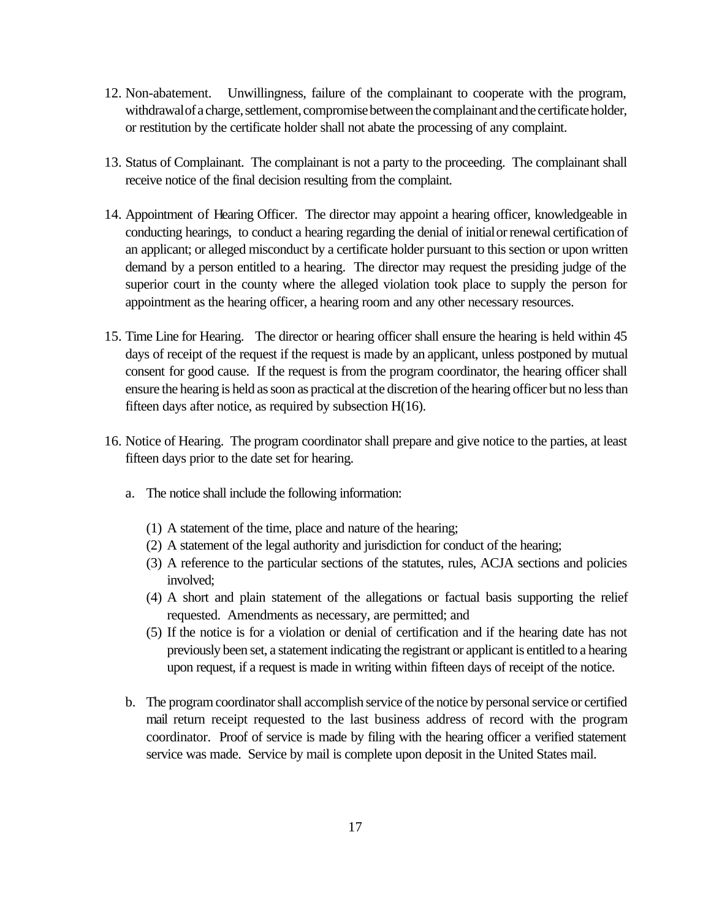- 12. Non-abatement. Unwillingness, failure of the complainant to cooperate with the program, withdrawal of a charge, settlement, compromise between the complainant and the certificate holder, or restitution by the certificate holder shall not abate the processing of any complaint.
- 13. Status of Complainant. The complainant is not a party to the proceeding. The complainant shall receive notice of the final decision resulting from the complaint.
- 14. Appointment of Hearing Officer. The director may appoint a hearing officer, knowledgeable in conducting hearings, to conduct a hearing regarding the denial of initial or renewal certification of an applicant; or alleged misconduct by a certificate holder pursuant to this section or upon written demand by a person entitled to a hearing. The director may request the presiding judge of the superior court in the county where the alleged violation took place to supply the person for appointment as the hearing officer, a hearing room and any other necessary resources.
- 15. Time Line for Hearing. The director or hearing officer shall ensure the hearing is held within 45 days of receipt of the request if the request is made by an applicant, unless postponed by mutual consent for good cause. If the request is from the program coordinator, the hearing officer shall ensure the hearing is held as soon as practical at the discretion of the hearing officer but no less than fifteen days after notice, as required by subsection H(16).
- 16. Notice of Hearing. The program coordinator shall prepare and give notice to the parties, at least fifteen days prior to the date set for hearing.
	- a. The notice shall include the following information:
		- (1) A statement of the time, place and nature of the hearing;
		- (2) A statement of the legal authority and jurisdiction for conduct of the hearing;
		- (3) A reference to the particular sections of the statutes, rules, ACJA sections and policies involved;
		- (4) A short and plain statement of the allegations or factual basis supporting the relief requested. Amendments as necessary, are permitted; and
		- (5) If the notice is for a violation or denial of certification and if the hearing date has not previously been set, a statement indicating the registrant or applicant is entitled to a hearing upon request, if a request is made in writing within fifteen days of receipt of the notice.
	- b. The program coordinator shall accomplish service of the notice by personal service or certified mail return receipt requested to the last business address of record with the program coordinator. Proof of service is made by filing with the hearing officer a verified statement service was made. Service by mail is complete upon deposit in the United States mail.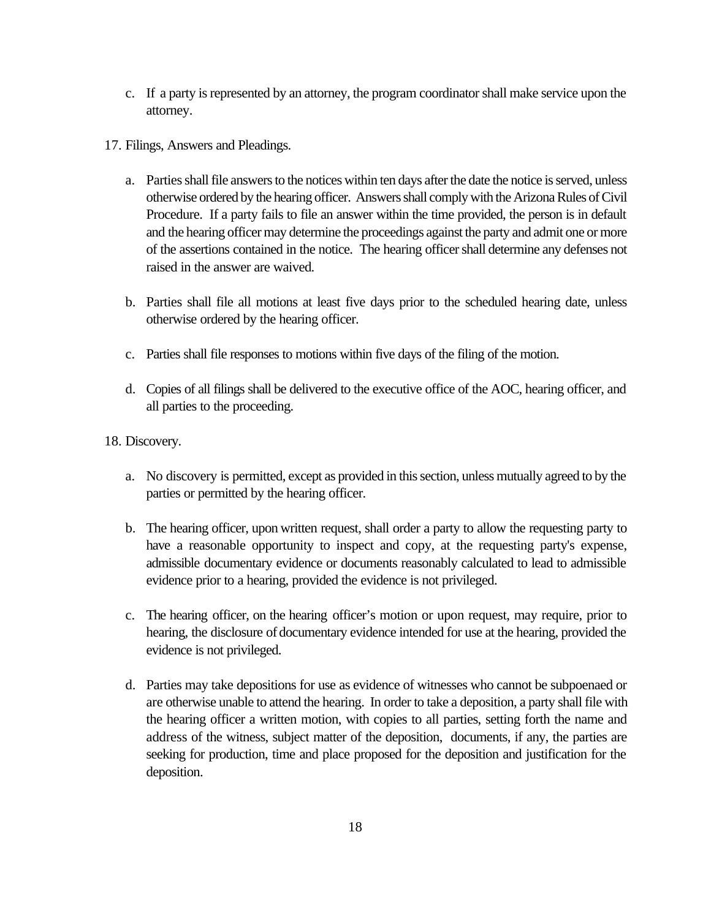- c. If a party is represented by an attorney, the program coordinator shall make service upon the attorney.
- 17. Filings, Answers and Pleadings.
	- a. Parties shall file answers to the notices within ten days after the date the notice is served, unless otherwise ordered by the hearing officer. Answers shall comply with the Arizona Rules of Civil Procedure. If a party fails to file an answer within the time provided, the person is in default and the hearing officer may determine the proceedings against the party and admit one or more of the assertions contained in the notice. The hearing officer shall determine any defenses not raised in the answer are waived.
	- b. Parties shall file all motions at least five days prior to the scheduled hearing date, unless otherwise ordered by the hearing officer.
	- c. Parties shall file responses to motions within five days of the filing of the motion.
	- d. Copies of all filings shall be delivered to the executive office of the AOC, hearing officer, and all parties to the proceeding.
- 18. Discovery.
	- a. No discovery is permitted, except as provided in this section, unless mutually agreed to by the parties or permitted by the hearing officer.
	- b. The hearing officer, upon written request, shall order a party to allow the requesting party to have a reasonable opportunity to inspect and copy, at the requesting party's expense, admissible documentary evidence or documents reasonably calculated to lead to admissible evidence prior to a hearing, provided the evidence is not privileged.
	- c. The hearing officer, on the hearing officer's motion or upon request, may require, prior to hearing, the disclosure of documentary evidence intended for use at the hearing, provided the evidence is not privileged.
	- d. Parties may take depositions for use as evidence of witnesses who cannot be subpoenaed or are otherwise unable to attend the hearing. In order to take a deposition, a party shall file with the hearing officer a written motion, with copies to all parties, setting forth the name and address of the witness, subject matter of the deposition, documents, if any, the parties are seeking for production, time and place proposed for the deposition and justification for the deposition.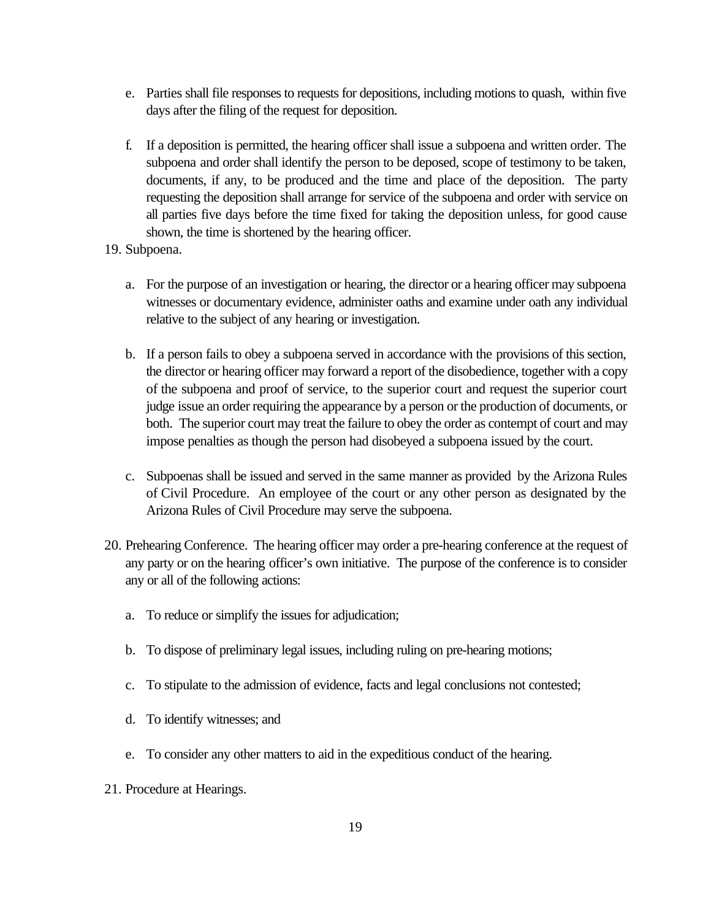- e. Parties shall file responses to requests for depositions, including motions to quash, within five days after the filing of the request for deposition.
- f. If a deposition is permitted, the hearing officer shall issue a subpoena and written order. The subpoena and order shall identify the person to be deposed, scope of testimony to be taken, documents, if any, to be produced and the time and place of the deposition. The party requesting the deposition shall arrange for service of the subpoena and order with service on all parties five days before the time fixed for taking the deposition unless, for good cause shown, the time is shortened by the hearing officer.
- 19. Subpoena.
	- a. For the purpose of an investigation or hearing, the director or a hearing officer may subpoena witnesses or documentary evidence, administer oaths and examine under oath any individual relative to the subject of any hearing or investigation.
	- b. If a person fails to obey a subpoena served in accordance with the provisions of this section, the director or hearing officer may forward a report of the disobedience, together with a copy of the subpoena and proof of service, to the superior court and request the superior court judge issue an order requiring the appearance by a person or the production of documents, or both. The superior court may treat the failure to obey the order as contempt of court and may impose penalties as though the person had disobeyed a subpoena issued by the court.
	- c. Subpoenas shall be issued and served in the same manner as provided by the Arizona Rules of Civil Procedure. An employee of the court or any other person as designated by the Arizona Rules of Civil Procedure may serve the subpoena.
- 20. Prehearing Conference. The hearing officer may order a pre-hearing conference at the request of any party or on the hearing officer's own initiative. The purpose of the conference is to consider any or all of the following actions:
	- a. To reduce or simplify the issues for adjudication;
	- b. To dispose of preliminary legal issues, including ruling on pre-hearing motions;
	- c. To stipulate to the admission of evidence, facts and legal conclusions not contested;
	- d. To identify witnesses; and
	- e. To consider any other matters to aid in the expeditious conduct of the hearing.
- 21. Procedure at Hearings.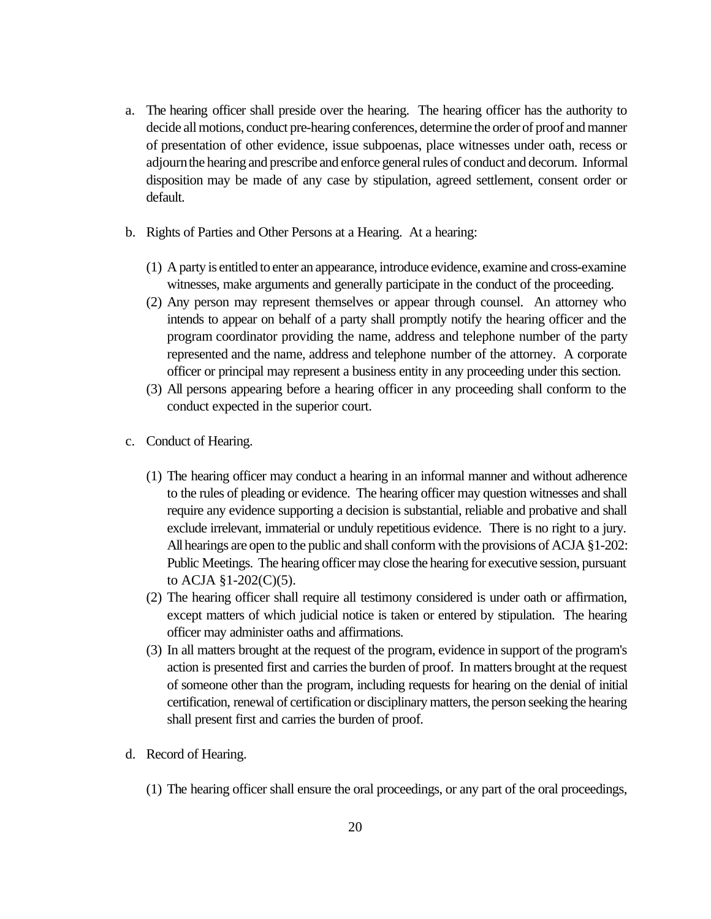- a. The hearing officer shall preside over the hearing. The hearing officer has the authority to decide all motions, conduct pre-hearing conferences, determine the order of proof and manner of presentation of other evidence, issue subpoenas, place witnesses under oath, recess or adjourn the hearing and prescribe and enforce general rules of conduct and decorum. Informal disposition may be made of any case by stipulation, agreed settlement, consent order or default.
- b. Rights of Parties and Other Persons at a Hearing. At a hearing:
	- (1) A party is entitled to enter an appearance, introduce evidence, examine and cross-examine witnesses, make arguments and generally participate in the conduct of the proceeding.
	- (2) Any person may represent themselves or appear through counsel. An attorney who intends to appear on behalf of a party shall promptly notify the hearing officer and the program coordinator providing the name, address and telephone number of the party represented and the name, address and telephone number of the attorney. A corporate officer or principal may represent a business entity in any proceeding under this section.
	- (3) All persons appearing before a hearing officer in any proceeding shall conform to the conduct expected in the superior court.
- c. Conduct of Hearing.
	- (1) The hearing officer may conduct a hearing in an informal manner and without adherence to the rules of pleading or evidence. The hearing officer may question witnesses and shall require any evidence supporting a decision is substantial, reliable and probative and shall exclude irrelevant, immaterial or unduly repetitious evidence. There is no right to a jury. All hearings are open to the public and shall conform with the provisions of ACJA §1-202: Public Meetings. The hearing officer may close the hearing for executive session, pursuant to ACJA §1-202(C)(5).
	- (2) The hearing officer shall require all testimony considered is under oath or affirmation, except matters of which judicial notice is taken or entered by stipulation. The hearing officer may administer oaths and affirmations.
	- (3) In all matters brought at the request of the program, evidence in support of the program's action is presented first and carries the burden of proof. In matters brought at the request of someone other than the program, including requests for hearing on the denial of initial certification, renewal of certification or disciplinary matters, the person seeking the hearing shall present first and carries the burden of proof.
- d. Record of Hearing.
	- (1) The hearing officer shall ensure the oral proceedings, or any part of the oral proceedings,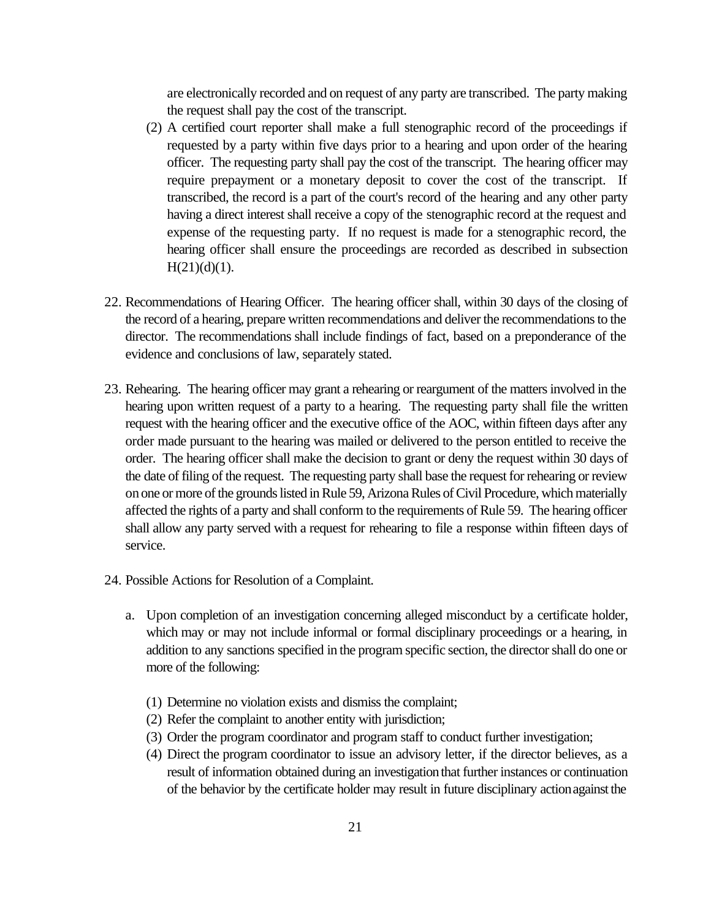are electronically recorded and on request of any party are transcribed. The party making the request shall pay the cost of the transcript.

- (2) A certified court reporter shall make a full stenographic record of the proceedings if requested by a party within five days prior to a hearing and upon order of the hearing officer. The requesting party shall pay the cost of the transcript. The hearing officer may require prepayment or a monetary deposit to cover the cost of the transcript. If transcribed, the record is a part of the court's record of the hearing and any other party having a direct interest shall receive a copy of the stenographic record at the request and expense of the requesting party. If no request is made for a stenographic record, the hearing officer shall ensure the proceedings are recorded as described in subsection  $H(21)(d)(1)$ .
- 22. Recommendations of Hearing Officer. The hearing officer shall, within 30 days of the closing of the record of a hearing, prepare written recommendations and deliver the recommendations to the director. The recommendations shall include findings of fact, based on a preponderance of the evidence and conclusions of law, separately stated.
- 23. Rehearing. The hearing officer may grant a rehearing or reargument of the matters involved in the hearing upon written request of a party to a hearing. The requesting party shall file the written request with the hearing officer and the executive office of the AOC, within fifteen days after any order made pursuant to the hearing was mailed or delivered to the person entitled to receive the order. The hearing officer shall make the decision to grant or deny the request within 30 days of the date of filing of the request. The requesting party shall base the request for rehearing or review on one or more of the grounds listed in Rule 59, Arizona Rules of Civil Procedure, which materially affected the rights of a party and shall conform to the requirements of Rule 59. The hearing officer shall allow any party served with a request for rehearing to file a response within fifteen days of service.
- 24. Possible Actions for Resolution of a Complaint.
	- a. Upon completion of an investigation concerning alleged misconduct by a certificate holder, which may or may not include informal or formal disciplinary proceedings or a hearing, in addition to any sanctions specified in the program specific section, the director shall do one or more of the following:
		- (1) Determine no violation exists and dismiss the complaint;
		- (2) Refer the complaint to another entity with jurisdiction;
		- (3) Order the program coordinator and program staff to conduct further investigation;
		- (4) Direct the program coordinator to issue an advisory letter, if the director believes, as a result of information obtained during an investigation that further instances or continuation of the behavior by the certificate holder may result in future disciplinary action against the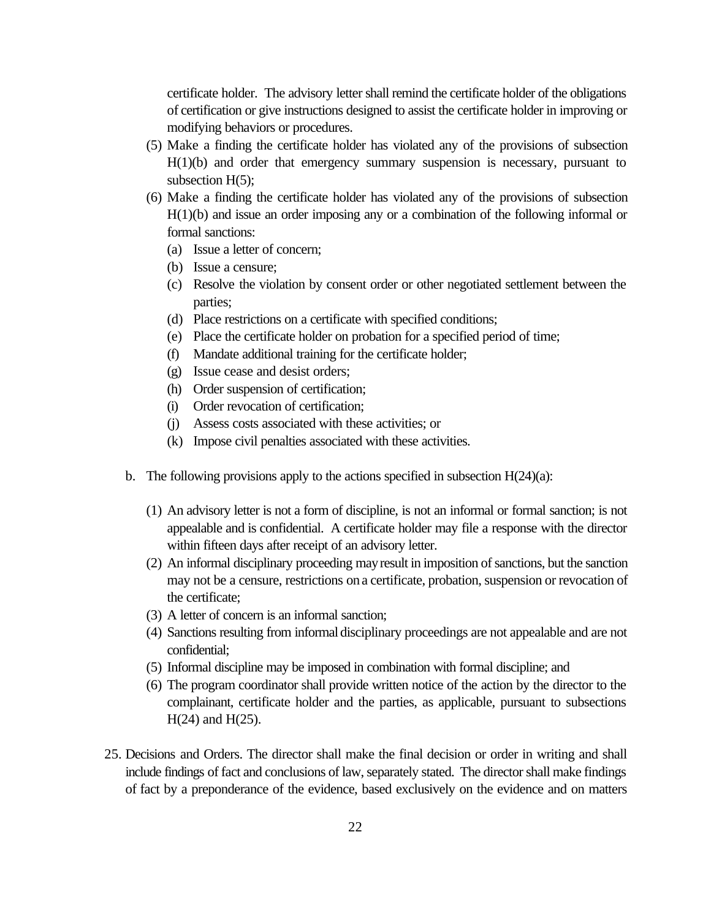certificate holder. The advisory letter shall remind the certificate holder of the obligations of certification or give instructions designed to assist the certificate holder in improving or modifying behaviors or procedures.

- (5) Make a finding the certificate holder has violated any of the provisions of subsection  $H(1)(b)$  and order that emergency summary suspension is necessary, pursuant to subsection H(5):
- (6) Make a finding the certificate holder has violated any of the provisions of subsection H(1)(b) and issue an order imposing any or a combination of the following informal or formal sanctions:
	- (a) Issue a letter of concern;
	- (b) Issue a censure;
	- (c) Resolve the violation by consent order or other negotiated settlement between the parties;
	- (d) Place restrictions on a certificate with specified conditions;
	- (e) Place the certificate holder on probation for a specified period of time;
	- (f) Mandate additional training for the certificate holder;
	- (g) Issue cease and desist orders;
	- (h) Order suspension of certification;
	- (i) Order revocation of certification;
	- (j) Assess costs associated with these activities; or
	- (k) Impose civil penalties associated with these activities.
- b. The following provisions apply to the actions specified in subsection  $H(24)(a)$ :
	- (1) An advisory letter is not a form of discipline, is not an informal or formal sanction; is not appealable and is confidential. A certificate holder may file a response with the director within fifteen days after receipt of an advisory letter.
	- (2) An informal disciplinary proceeding may result in imposition of sanctions, but the sanction may not be a censure, restrictions on a certificate, probation, suspension or revocation of the certificate;
	- (3) A letter of concern is an informal sanction;
	- (4) Sanctions resulting from informal disciplinary proceedings are not appealable and are not confidential;
	- (5) Informal discipline may be imposed in combination with formal discipline; and
	- (6) The program coordinator shall provide written notice of the action by the director to the complainant, certificate holder and the parties, as applicable, pursuant to subsections H(24) and H(25).
- 25. Decisions and Orders. The director shall make the final decision or order in writing and shall include findings of fact and conclusions of law, separately stated. The director shall make findings of fact by a preponderance of the evidence, based exclusively on the evidence and on matters